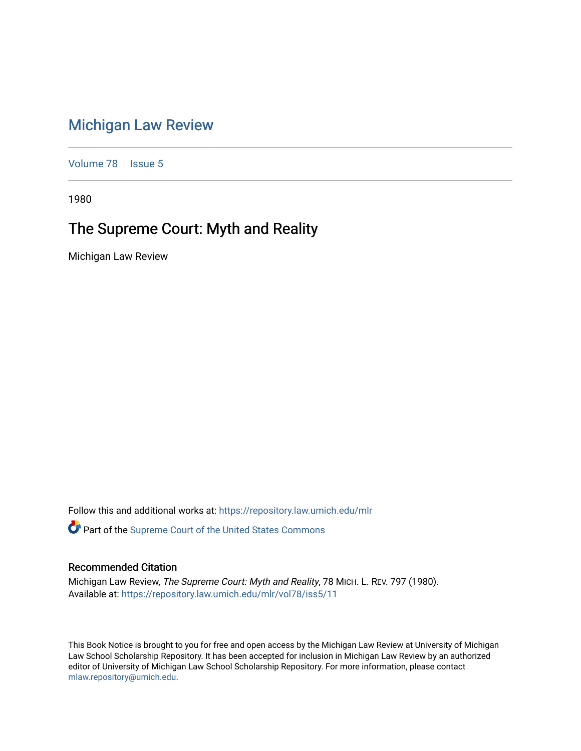## [Michigan Law Review](https://repository.law.umich.edu/mlr)

[Volume 78](https://repository.law.umich.edu/mlr/vol78) | [Issue 5](https://repository.law.umich.edu/mlr/vol78/iss5)

1980

## The Supreme Court: Myth and Reality

Michigan Law Review

Follow this and additional works at: [https://repository.law.umich.edu/mlr](https://repository.law.umich.edu/mlr?utm_source=repository.law.umich.edu%2Fmlr%2Fvol78%2Fiss5%2F11&utm_medium=PDF&utm_campaign=PDFCoverPages) 

Part of the [Supreme Court of the United States Commons](http://network.bepress.com/hgg/discipline/1350?utm_source=repository.law.umich.edu%2Fmlr%2Fvol78%2Fiss5%2F11&utm_medium=PDF&utm_campaign=PDFCoverPages) 

## Recommended Citation

Michigan Law Review, The Supreme Court: Myth and Reality, 78 MICH. L. REV. 797 (1980). Available at: [https://repository.law.umich.edu/mlr/vol78/iss5/11](https://repository.law.umich.edu/mlr/vol78/iss5/11?utm_source=repository.law.umich.edu%2Fmlr%2Fvol78%2Fiss5%2F11&utm_medium=PDF&utm_campaign=PDFCoverPages) 

This Book Notice is brought to you for free and open access by the Michigan Law Review at University of Michigan Law School Scholarship Repository. It has been accepted for inclusion in Michigan Law Review by an authorized editor of University of Michigan Law School Scholarship Repository. For more information, please contact [mlaw.repository@umich.edu.](mailto:mlaw.repository@umich.edu)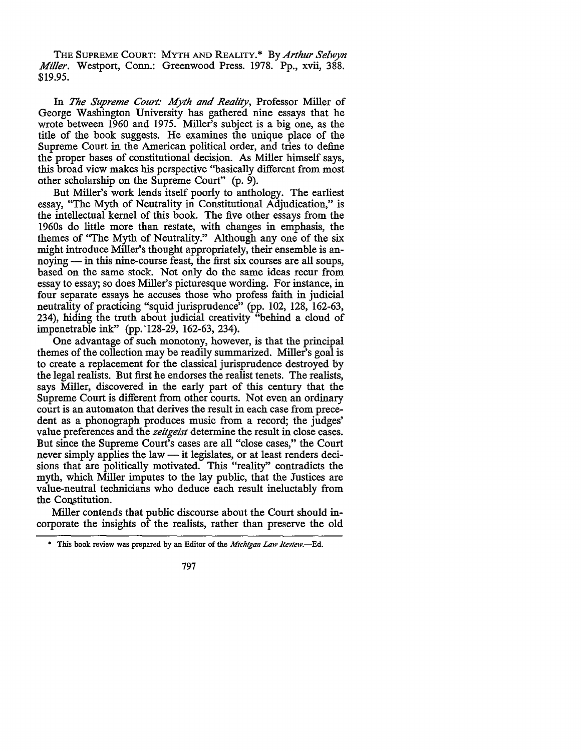THE SUPREME COURT: MYTH AND REALITY.\* By *Arthur Selwyn Miller.* Westport, Conn.: Greenwood Press. 1978. Pp., xvii, 388. \$19.95.

In *The Supreme Court: Myth and Reality,* Professor Miller of George Washington University has gathered nine essays that he wrote between 1960 and 1975. Miller's subject is a big one, as the title of the book suggests. He examines the unique place of the Supreme Court in the American political order, and tries to define the proper bases of constitutional decision. As Miller himself says, this broad view makes his perspective "basically different from most other scholarship on the Supreme Court" (p. 9).

But Miller's work lends itself poorly to anthology. The earliest essay, "The Myth of Neutrality in Constitutional Adjudication," is the intellectual kernel of this book. The five other essays from the 1960s do little more than restate, with changes in emphasis, the themes of "The Myth of Neutrality." Although any one of the six might introduce Miller's thought appropriately, their ensemble is annoying — in this nine-course feast, the first six courses are all soups, based on the same stock. Not only do the same ideas recur from essay to essay; so does Miller's picturesque wording. For instance, in four separate essays he accuses those who profess faith in judicial neutrality of practicing "squid jurisprudence" (pp. 102, 128, 162-63, 234), hiding the truth about judicial creativity "behind a cloud of impenetrable ink" (pp. ·128-29, 162-63, 234).

One advantage of such monotony, however, is that the principal themes of the collection may be readily summarized. Miller's goal is to create a replacement for the classical jurisprudence destroyed by the legal realists. But first he endorses the realist tenets. The realists, says Miller, discovered in the early part of this century that the Supreme Court is different from other courts. Not even an ordinary court is an automaton that derives the result in each case from precedent as a phonograph produces music from a record; the judges' value preferences and the *zeitgeist* determine the result in close cases. But since the Supreme Court's cases are all "close cases," the Court never simply applies the law  $-$  it legislates, or at least renders decisions that are politically motivated. This "reality" contradicts the myth, which Miller imputes to the lay public, that the Justices are value-neutral technicians who deduce each result ineluctably from the Constitution.

Miller contends that public discourse about the Court should incorporate the insights of the realists, rather than preserve the old

<sup>\*</sup> This book review was prepared by an Editor of the *Michigan Law Review.-Ed.* 

<sup>797</sup>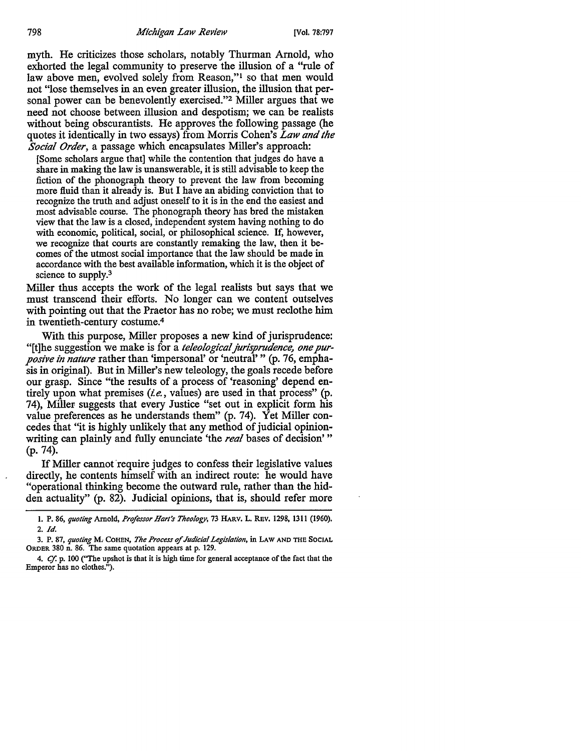myth. He criticizes those scholars, notably Thurman Arnold, who exhorted the legal community to preserve the illusion of a "rule of law above men, evolved solely from Reason,"<sup>1</sup> so that men would not "lose themselves in an even greater illusion, the illusion that personal power can be benevolently exercised."2 Miller argues that we need not choose between illusion and despotism; we can be realists without being obscurantists. He approves the following passage (he quotes it identically in two essays) from Morris Cohen's *Law and the Social Order,* a passage which encapsulates Miller's approach:

[Some scholars argue that] while the contention that judges do have a share in making the law is unanswerable, it is still advisable to keep the fiction of the phonograph theory to prevent the law from becoming more fluid than it already is. But I have an abiding conviction that to recognize the truth and adjust oneself to it is in the end the easiest and most advisable course. The phonograph theory has bred the mistaken view that the law is a closed, independent system having nothing to do with economic, political, social, or philosophical science. If, however, we recognize that courts are constantly remaking the law, then it becomes of the utmost social importance that the law should be made in accordance with the best available information, which it is the object of science to supply.<sup>3</sup>

Miller thus accepts the work of the legal realists but says that we must transcend their efforts. No longer can we content outselves with pointing out that the Praetor has no robe; we must reclothe him in twentieth-century costume.<sup>4</sup>

With this purpose, Miller proposes a new kind of jurisprudence: "[t]he suggestion we make is for a *teleological jurisprudence, one purposive in nature* rather than 'impersonal' or 'neutral'" (p. 76, emphasis in original). But in Miller's new teleology, the goals recede before our grasp. Since "the results of a process of 'reasoning' depend entirely upon what premises *(ie.,* values) are used in that process" (p. 74), Miller suggests that every Justice "set out in explicit form his value preferences as he understands them" (p. 74). Yet Miller concedes that "it is highly unlikely that any method of judicial opinionwriting can plainly and fully enunciate 'the *real* bases of decision' " (p. 74).

If Miller cannot require judges to confess their legislative values directly, he contents himself with an indirect route: he would have "operational thinking become the outward rule, rather than the hidden actuality'' (p. 82). Judicial opinions, that is, should refer more

<sup>1.</sup> P. 86, *quoting* Arnold, *Professor Hart's Theology,* 73 HARV. L. REV. 1298, 1311 (1960). 2. *Id.* 

<sup>3.</sup> P. 87, *quoting M. COHEN, The Process of Judicial Legislation*, in LAW AND THE SOCIAL ORDER 380 n. 86. The same quotation appears at p. 129.

<sup>4.</sup> *q:* p. 100 ("The upshot is that it is high time for general acceptance of the fact that the Emperor has no clothes.").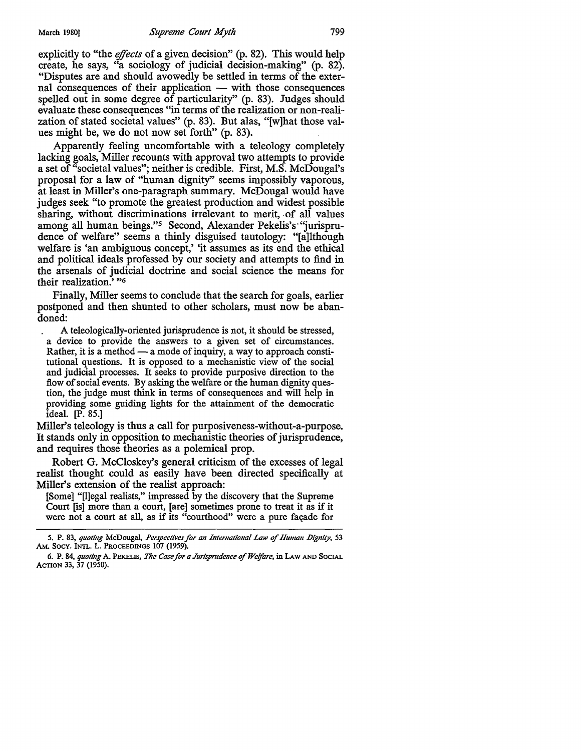explicitly to "the *effects* of a given decision" (p. 82). This would help create, he says, "a sociology of judicial decision-making" (p. 82). "Disputes are and should avowedly be settled in terms of the external consequences of their application  $-$  with those consequences spelled out in some degree of particularity" (p. 83). Judges should evaluate these consequences "in terms of the realization or non-realization of stated societal values" (p. 83). But alas, "[w]hat those values might be, we do not now set forth" (p. 83).

Apparently feeling uncomfortable with a teleology completely lacking goals, Miller recounts with approval two attempts to provide a set of "societal values"; neither is credible. First, **M.S.** McDougal's proposal for a law of "human dignity'' seems impossibly vaporous, at least in Miller's one-paragraph summary. McDougal would have judges seek "to promote the greatest production and widest possible sharing, without discriminations irrelevant to merit, of all values among all human beings."5 Second, Alexander Pekelis's·'jurisprudence of welfare" seems a thinly disguised tautology: "[a]lthough welfare is 'an ambiguous concept,' 'it assumes as its end the ethical and political ideals professed by our society and attempts to find in the arsenals of judicial doctrine and social science the means for their realization.' "6

Finally, Miller seems to conclude that the search for goals, earlier postponed and then shunted to other scholars, must now be abandoned:

A teleologically-oriented jurisprudence is not, it should be stressed, a device to provide the answers to a given set of circumstances. Rather, it is a method  $-$  a mode of inquiry, a way to approach constitutional questions. It is opposed to a mechanistic view of the social and judicial processes. It seeks to provide purposive direction to the flow of social events. By asking the welfare or the human dignity question, the judge must think in terms of consequences and will help in providing some guiding lights for the attainment of the democratic ideal. [P. 85.]

Miller's teleology is thus a call for purposiveness-without-a-purpose. It stands only in opposition to mechanistic theories of jurisprudence, and requires those theories as a polemical prop.

Robert G. McCloskey's general criticism of the excesses of legal realist thought could as easily have been directed specifically at Miller's extension of the realist approach:

[Some] "[l]egal realists," impressed by the discovery that the Supreme Court [is] more than a court, [are] sometimes prone to treat it as if it were not a court at all, as if its "courthood" were a pure façade for

*<sup>5.</sup>* **P.** 83, *quoting* McDougal, *Perspectives far an International Law of Human Dignity,* 53 AM. SOCY. INTL. L. PROCEEDINGS 107 (1959).

<sup>6.</sup> **P.** 84, *quoting* A. PEKELIS, *The CasefaraJurisprudenceof We!fare,* in LAW AND SOCIAL ACTION 33, 37 (1950).